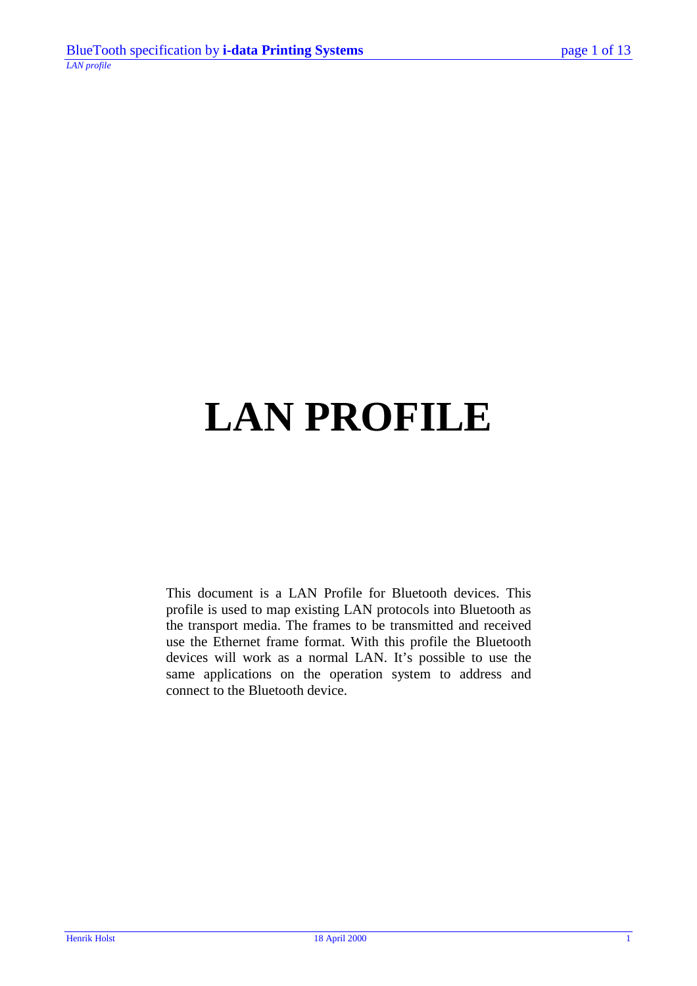# **LAN PROFILE**

This document is a LAN Profile for Bluetooth devices. This profile is used to map existing LAN protocols into Bluetooth as the transport media. The frames to be transmitted and received use the Ethernet frame format. With this profile the Bluetooth devices will work as a normal LAN. It's possible to use the same applications on the operation system to address and connect to the Bluetooth device.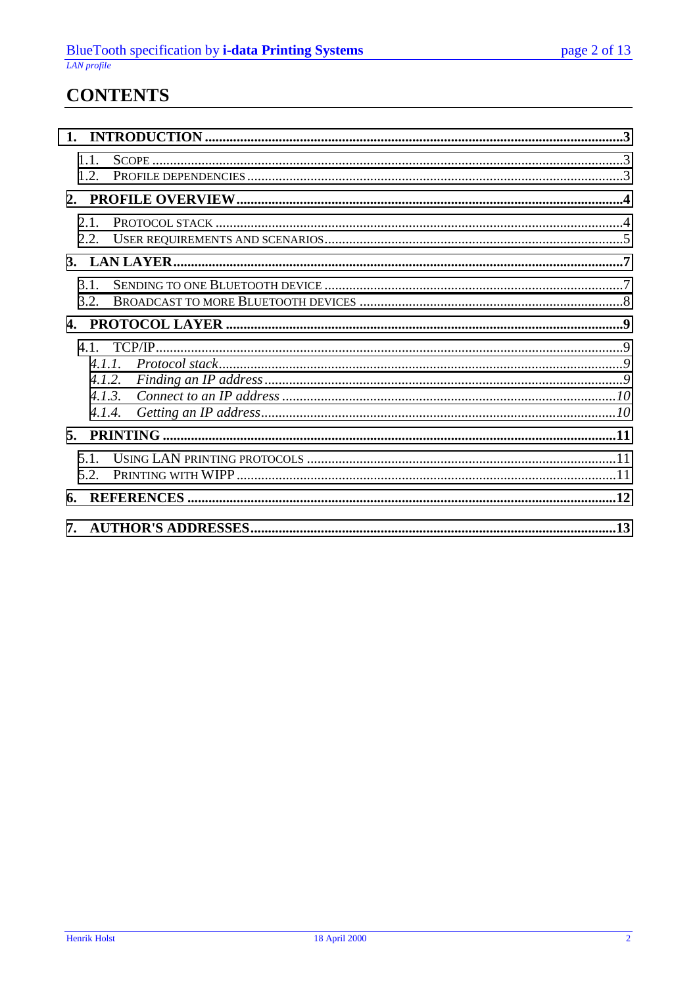### **CONTENTS**

| 1.1.<br>12       |       |  |
|------------------|-------|--|
|                  |       |  |
| 2.1.<br>2.2.     |       |  |
|                  |       |  |
| 3.1.<br>3.2      |       |  |
|                  |       |  |
| 4.1.2.<br>4.1.4. | 4.1.3 |  |
|                  |       |  |
| 5.1<br>5.2       |       |  |
|                  |       |  |
|                  |       |  |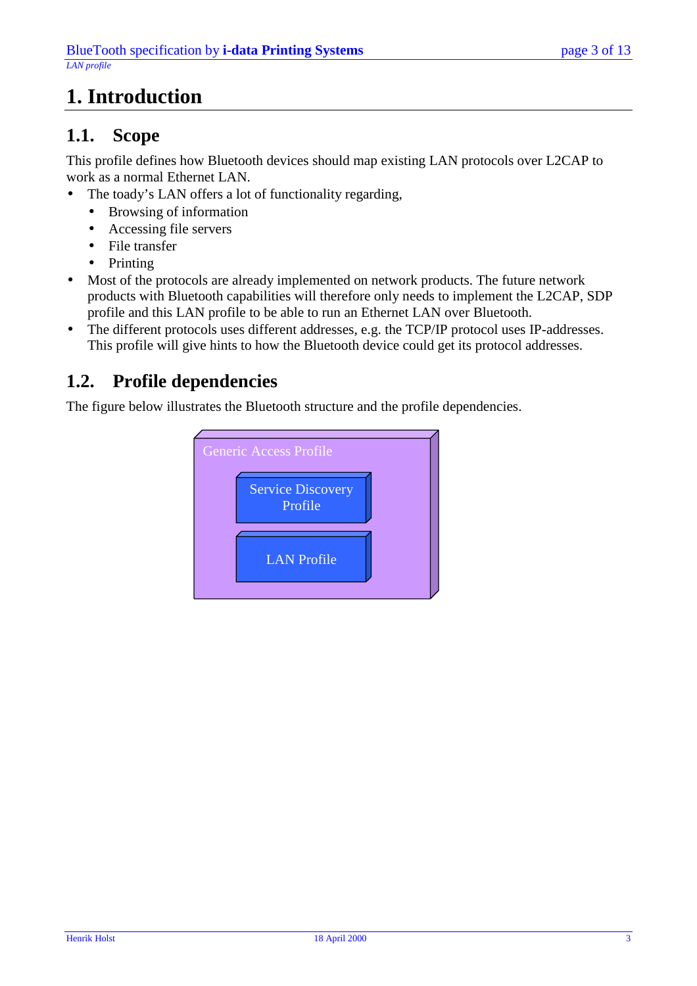# <span id="page-2-0"></span>**1. Introduction**

### **1.1. Scope**

This profile defines how Bluetooth devices should map existing LAN protocols over L2CAP to work as a normal Ethernet LAN.

- The toady's LAN offers a lot of functionality regarding,
	- Browsing of information
	- Accessing file servers
	- File transfer
	- Printing
- Most of the protocols are already implemented on network products. The future network products with Bluetooth capabilities will therefore only needs to implement the L2CAP, SDP profile and this LAN profile to be able to run an Ethernet LAN over Bluetooth.
- The different protocols uses different addresses, e.g. the TCP/IP protocol uses IP-addresses. This profile will give hints to how the Bluetooth device could get its protocol addresses.

### **1.2. Profile dependencies**

The figure below illustrates the Bluetooth structure and the profile dependencies.

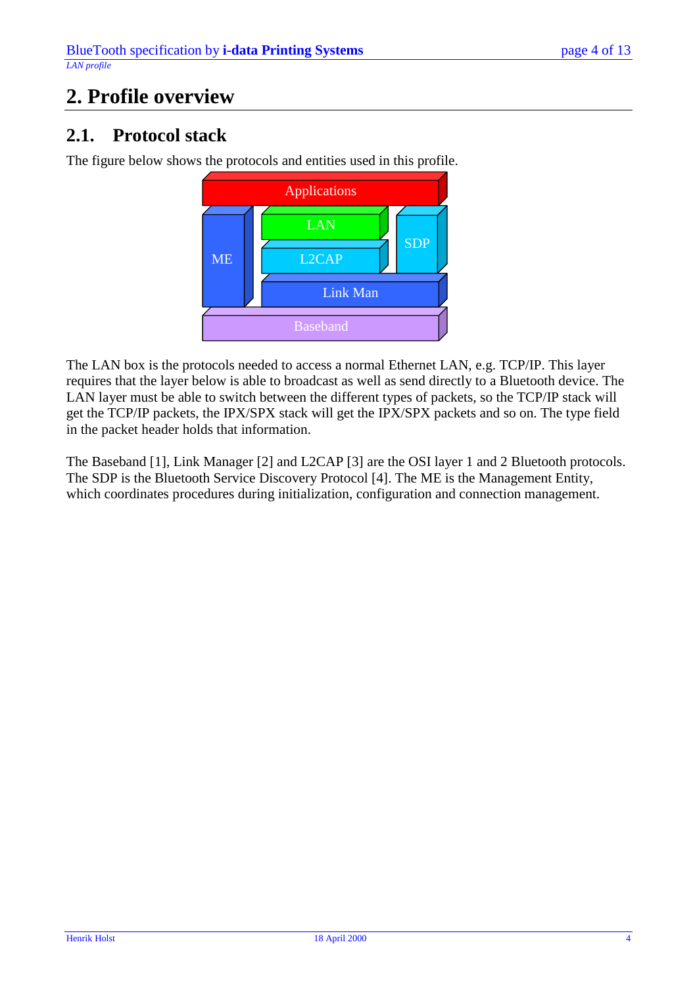# <span id="page-3-0"></span>**2. Profile overview**

### **2.1. Protocol stack**

The figure below shows the protocols and entities used in this profile.



The LAN box is the protocols needed to access a normal Ethernet LAN, e.g. TCP/IP. This layer requires that the layer below is able to broadcast as well as send directly to a Bluetooth device. The LAN layer must be able to switch between the different types of packets, so the TCP/IP stack will get the TCP/IP packets, the IPX/SPX stack will get the IPX/SPX packets and so on. The type field in the packet header holds that information.

The Baseband [1], Link Manager [2] and L2CAP [3] are the OSI layer 1 and 2 Bluetooth protocols. The SDP is the Bluetooth Service Discovery Protocol [4]. The ME is the Management Entity, which coordinates procedures during initialization, configuration and connection management.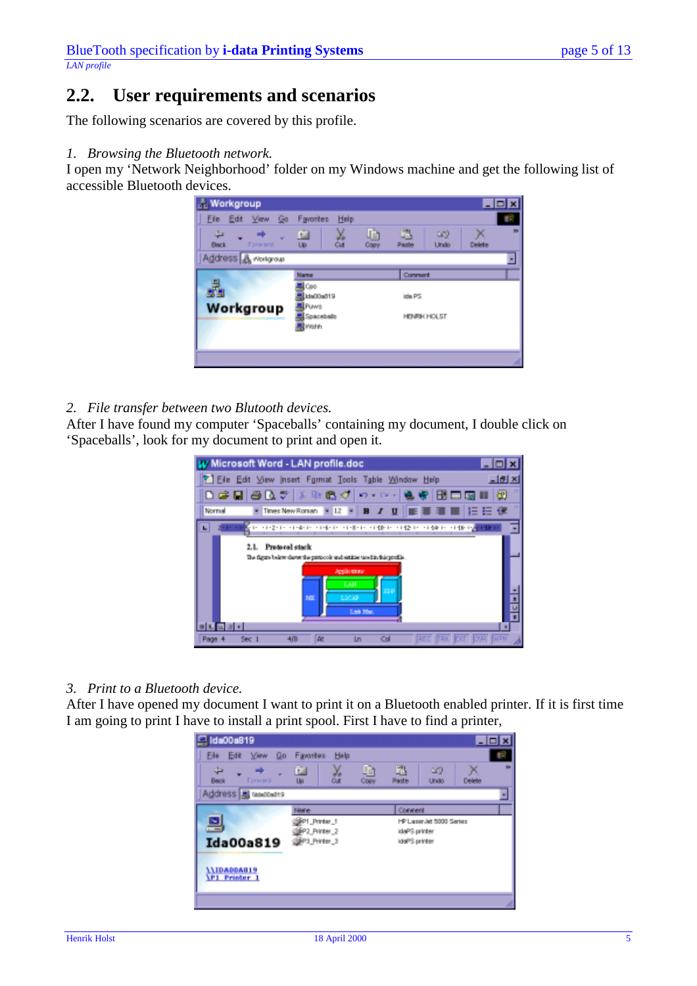### <span id="page-4-0"></span>**2.2. User requirements and scenarios**

The following scenarios are covered by this profile.

*1. Browsing the Bluetooth network.*

I open my 'Network Neighborhood' folder on my Windows machine and get the following list of accessible Bluetooth devices.

| <b>Norkgroup</b><br>File Edit View Go<br><b>Back</b><br>Forward | Favorites<br>Help<br>X.<br>面<br>Up                                     | Ĥ<br>N)<br>Undo<br>Paste<br>Copy  | $\blacksquare$<br>$\boldsymbol{\mathcal{R}}$<br><b>Delete</b> |
|-----------------------------------------------------------------|------------------------------------------------------------------------|-----------------------------------|---------------------------------------------------------------|
| Address & Workgroup<br>Workgroup                                | Name<br><b>A</b> Coo<br>Ida00a019<br><b>APUWS</b><br>Spacebals<br>Wahh | Comment<br>ida PS<br>HENRIK HOLST |                                                               |
|                                                                 |                                                                        |                                   |                                                               |

#### *2. File transfer between two Blutooth devices.*

After I have found my computer 'Spaceballs' containing my document, I double click on 'Spaceballs', look for my document to print and open it.

| W Microsoft Word - LAN profile.doc                                                             |  |  |  |  |  |
|------------------------------------------------------------------------------------------------|--|--|--|--|--|
| <sup>7</sup> Eile Edit View Insert Format Tools Table Window Help<br>$-0x$                     |  |  |  |  |  |
| ∩∉⊟⊜∆7 X ⊪®♂ ⊙-⊙- N<br>电阻电离阻<br>园                                                              |  |  |  |  |  |
| ■■■■■ 日日课<br>Times New Roman = 12 = B / U<br>Normal                                            |  |  |  |  |  |
| 医巨性染色 计变化 网络化 计寄存 计操作 计操作 计操作 计操作控制                                                            |  |  |  |  |  |
| 2.1. Pretocal stack<br>The figure below chows the protocols and estates tored in finisprofile. |  |  |  |  |  |
| Applications<br>LAH                                                                            |  |  |  |  |  |
| 1200<br>ME.<br>Lab No.                                                                         |  |  |  |  |  |
|                                                                                                |  |  |  |  |  |
| œ<br>Col<br>Sec.<br>In<br>Page                                                                 |  |  |  |  |  |

#### *3. Print to a Bluetooth device.*

After I have opened my document I want to print it on a Bluetooth enabled printer. If it is first time I am going to print I have to install a print spool. First I have to find a printer,

| Edit View<br>Go<br>File:                                            | Help<br>Favorites                                         |                          |                                                                       |        |  |
|---------------------------------------------------------------------|-----------------------------------------------------------|--------------------------|-----------------------------------------------------------------------|--------|--|
|                                                                     |                                                           |                          |                                                                       |        |  |
| ÷<br><b>Back</b><br><b>Forward</b>                                  | ¥,<br>面<br><b>Out</b><br>Up                               | D<br>u.<br>Copy<br>Paste | $\mathbf{N}$<br>Undo                                                  | Delete |  |
| Address B usecults                                                  |                                                           |                          |                                                                       |        |  |
| ᆗ<br><b>Ida00a819</b><br><b>AAIDAODAB19</b><br><b>\P1 Printer 1</b> | Marie<br>@P1_Printer_1<br>BP2_Printer_2<br>SBP3 Printer 3 |                          | Connert<br>HP Laper Jet 5000 Series<br>idaPS printer<br>idaPS printer |        |  |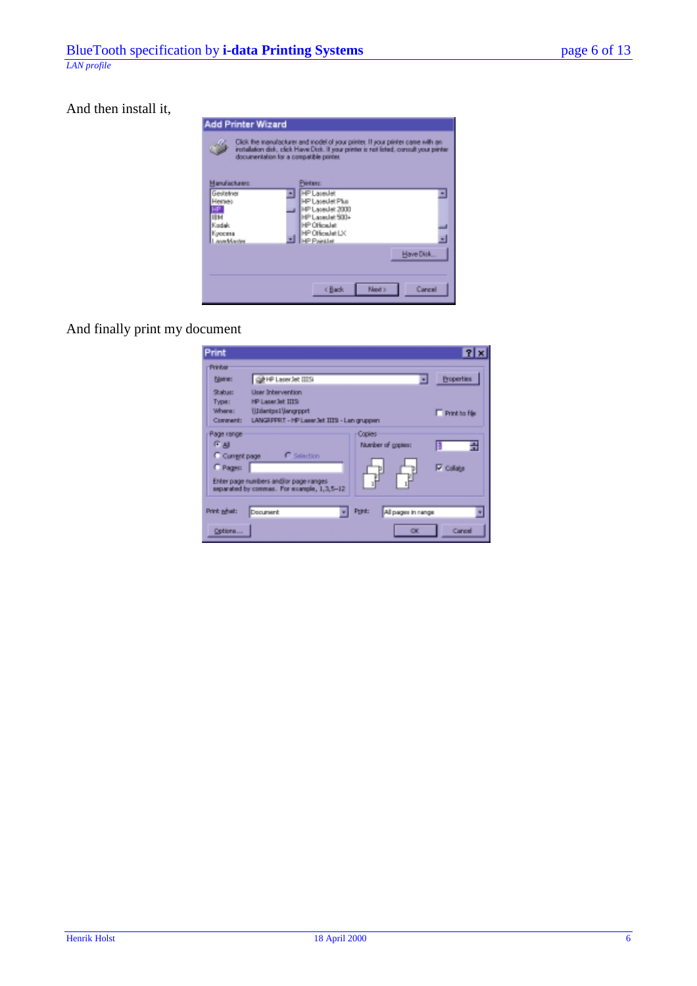And then install it,

| Add Printer Wizard                                                                                                                                                                                                    |                                                                                                                                                                     |  |  |  |
|-----------------------------------------------------------------------------------------------------------------------------------------------------------------------------------------------------------------------|---------------------------------------------------------------------------------------------------------------------------------------------------------------------|--|--|--|
| Click the manufacturer and model of your printer. If your printer came with an<br>installation disk, click Have Disk. If your printer is not listed, consult your printer.<br>documentation for a compatible printer. |                                                                                                                                                                     |  |  |  |
| Manufacturers:<br>Gestelner<br>Hemet<br>IIМ<br>Kadak<br>Киосила<br>LasarMaster                                                                                                                                        | Pinter:<br><b>HP Laseslet</b><br>HP Lareslet Plus<br>HP Laseslet 2000<br>HP Lasedel 500+<br>HP Officialist<br>HP Official et LX<br><b>HP Paintiet</b><br>Have Disk. |  |  |  |
|                                                                                                                                                                                                                       | Cancel<br>Next ><br><back< td=""></back<>                                                                                                                           |  |  |  |

And finally print my document

| Print                                  |                                                                                                                                        | 71                |  |  |  |
|----------------------------------------|----------------------------------------------------------------------------------------------------------------------------------------|-------------------|--|--|--|
| <b>Printer</b><br>Filame:              | <b>GENPLASM</b> JR IIISI                                                                                                               | <b>Properties</b> |  |  |  |
| Stabut:<br>Type:<br>Where:<br>Comment: | <b>User Intervention</b><br>HP Laser Jet IIIS<br>UJdanipel Mangrpprt<br>F Print ba file<br>LANGRPPRT - HP Laser Jet IIIS - Lan gruppen |                   |  |  |  |
| Page range<br>9 All<br>Current page    | Copies<br>Number of copies:<br>C Selection                                                                                             | m                 |  |  |  |
| C Pages:                               | Enter page numbers and/or page ranges<br>separated by commas. For example, 1,3,5-12                                                    | <b>V</b> Collate  |  |  |  |
| Print adult:                           | Print:<br>All pages in range<br>Document                                                                                               |                   |  |  |  |
| Options                                | $\alpha$                                                                                                                               | Cancel            |  |  |  |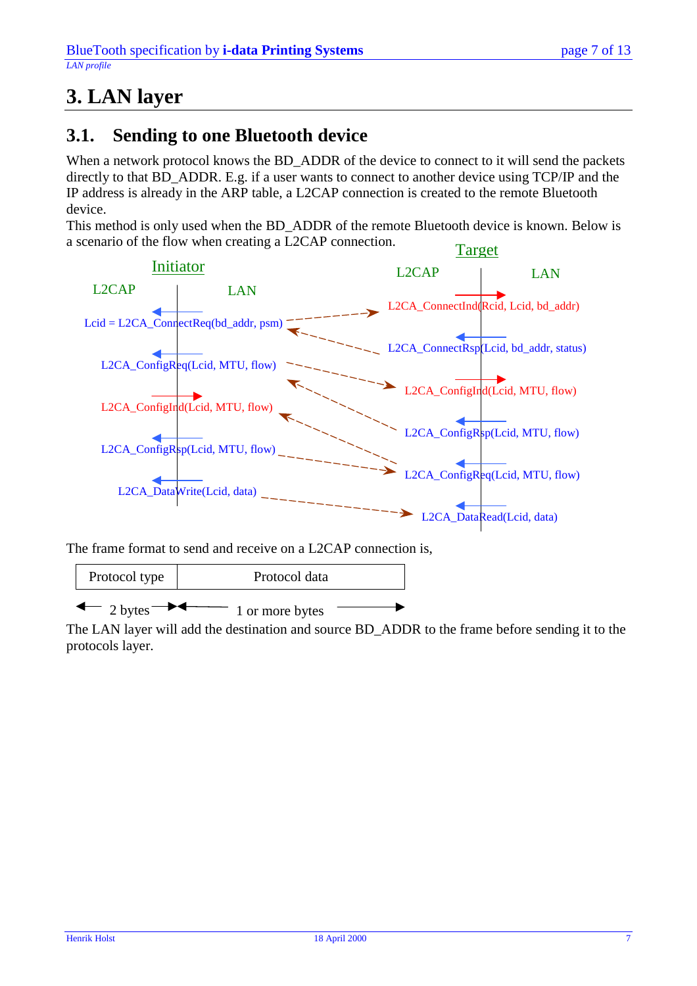# <span id="page-6-0"></span>**3. LAN layer**

#### **3.1. Sending to one Bluetooth device**

When a network protocol knows the BD\_ADDR of the device to connect to it will send the packets directly to that BD\_ADDR. E.g. if a user wants to connect to another device using TCP/IP and the IP address is already in the ARP table, a L2CAP connection is created to the remote Bluetooth device.

This method is only used when the BD\_ADDR of the remote Bluetooth device is known. Below is a scenario of the flow when creating a L2CAP connection.



The frame format to send and receive on a L2CAP connection is,



The LAN layer will add the destination and source BD\_ADDR to the frame before sending it to the protocols layer.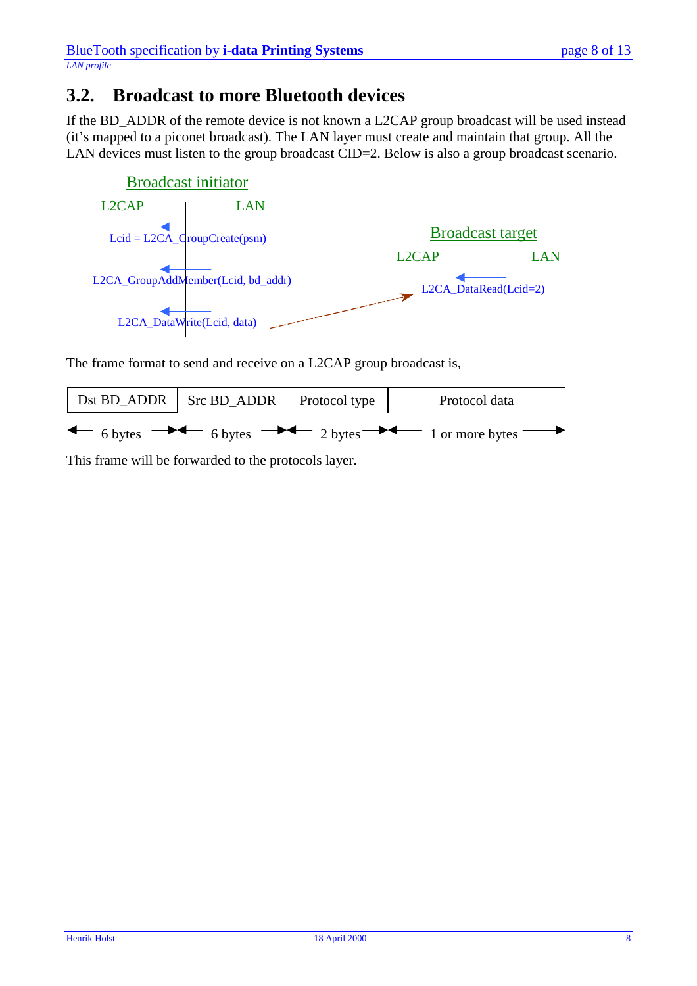#### <span id="page-7-0"></span>**3.2. Broadcast to more Bluetooth devices**

If the BD\_ADDR of the remote device is not known a L2CAP group broadcast will be used instead (it's mapped to a piconet broadcast). The LAN layer must create and maintain that group. All the LAN devices must listen to the group broadcast CID=2. Below is also a group broadcast scenario.



The frame format to send and receive on a L2CAP group broadcast is,

| Dst BD_ADDR   Src BD_ADDR   Protocol type | Protocol data                                                                                                                                 |
|-------------------------------------------|-----------------------------------------------------------------------------------------------------------------------------------------------|
|                                           | $\leftarrow$ 6 bytes $\rightarrow \leftarrow$ 6 bytes $\rightarrow \leftarrow$ 2 bytes $\rightarrow \leftarrow$ 1 or more bytes $\rightarrow$ |

This frame will be forwarded to the protocols layer.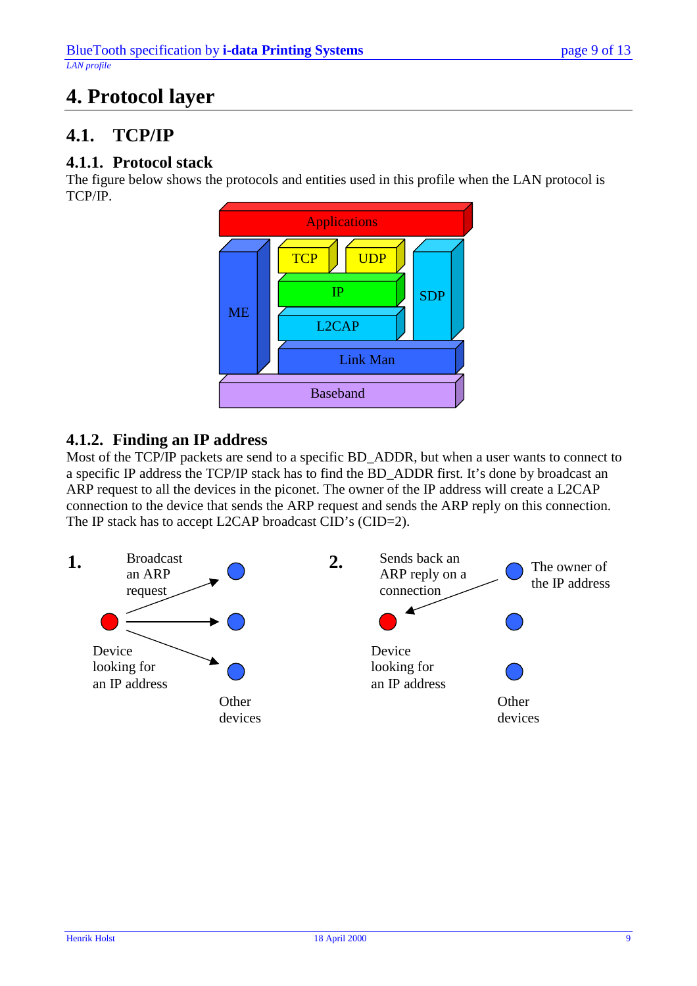## <span id="page-8-0"></span>**4. Protocol layer**

### **4.1. TCP/IP**

#### **4.1.1. Protocol stack**

The figure below shows the protocols and entities used in this profile when the LAN protocol is TCP/IP.



#### **4.1.2. Finding an IP address**

Most of the TCP/IP packets are send to a specific BD\_ADDR, but when a user wants to connect to a specific IP address the TCP/IP stack has to find the BD\_ADDR first. It's done by broadcast an ARP request to all the devices in the piconet. The owner of the IP address will create a L2CAP connection to the device that sends the ARP request and sends the ARP reply on this connection. The IP stack has to accept L2CAP broadcast CID's (CID=2).

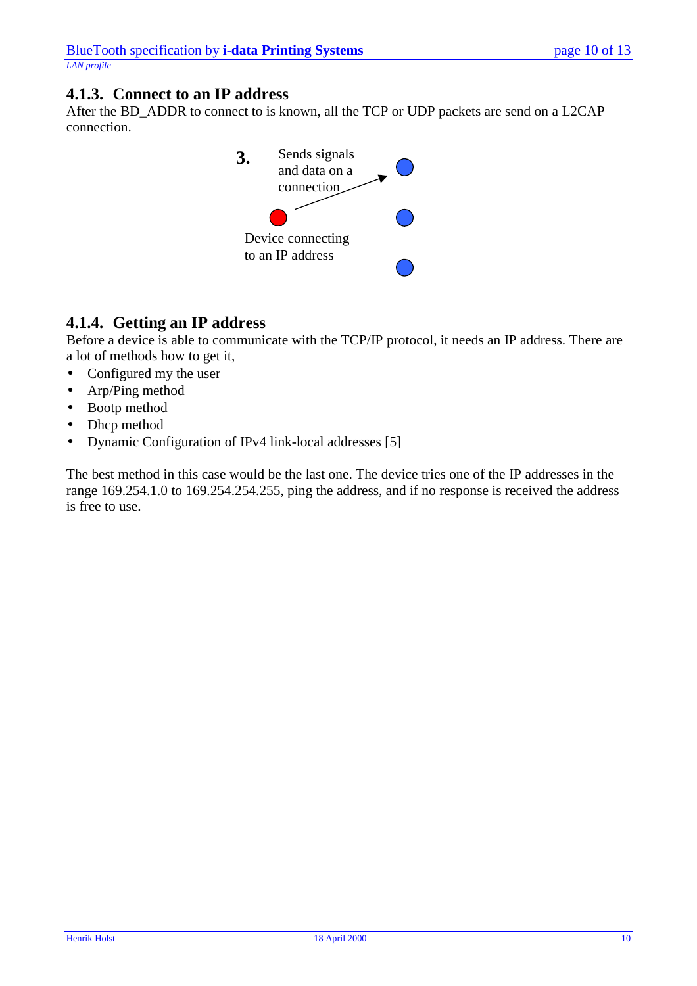#### <span id="page-9-0"></span>**4.1.3. Connect to an IP address**

After the BD\_ADDR to connect to is known, all the TCP or UDP packets are send on a L2CAP connection.



#### **4.1.4. Getting an IP address**

Before a device is able to communicate with the TCP/IP protocol, it needs an IP address. There are a lot of methods how to get it,

- Configured my the user
- Arp/Ping method
- Bootp method
- Dhcp method
- Dynamic Configuration of IPv4 link-local addresses [5]

The best method in this case would be the last one. The device tries one of the IP addresses in the range 169.254.1.0 to 169.254.254.255, ping the address, and if no response is received the address is free to use.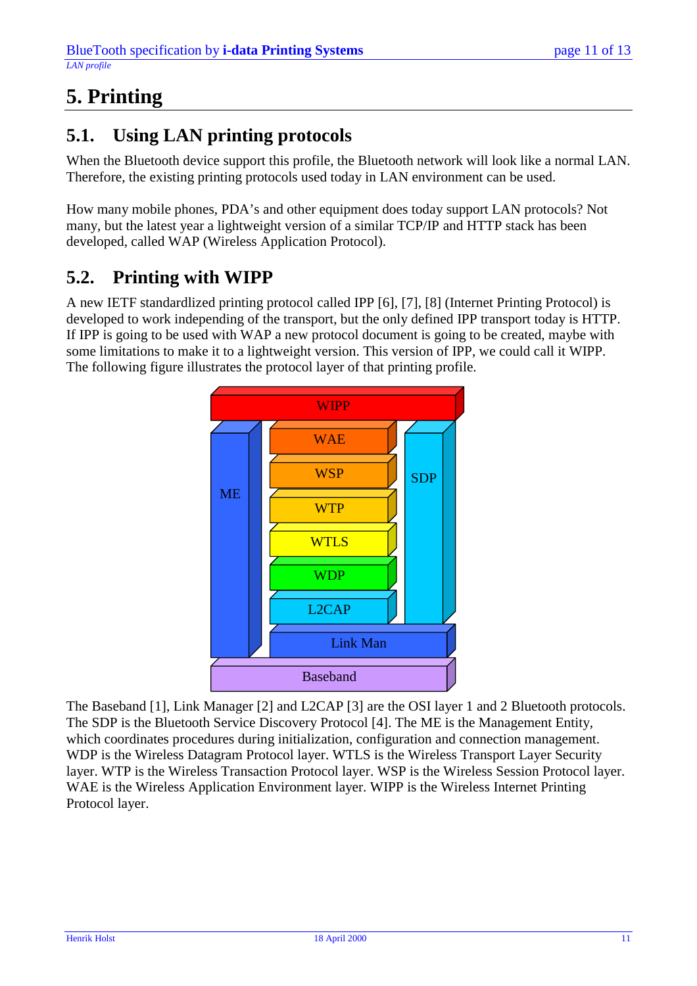# <span id="page-10-0"></span>**5. Printing**

### **5.1. Using LAN printing protocols**

When the Bluetooth device support this profile, the Bluetooth network will look like a normal LAN. Therefore, the existing printing protocols used today in LAN environment can be used.

How many mobile phones, PDA's and other equipment does today support LAN protocols? Not many, but the latest year a lightweight version of a similar TCP/IP and HTTP stack has been developed, called WAP (Wireless Application Protocol).

### **5.2. Printing with WIPP**

A new IETF standardlized printing protocol called IPP [6], [7], [8] (Internet Printing Protocol) is developed to work independing of the transport, but the only defined IPP transport today is HTTP. If IPP is going to be used with WAP a new protocol document is going to be created, maybe with some limitations to make it to a lightweight version. This version of IPP, we could call it WIPP. The following figure illustrates the protocol layer of that printing profile.



The Baseband [1], Link Manager [2] and L2CAP [3] are the OSI layer 1 and 2 Bluetooth protocols. The SDP is the Bluetooth Service Discovery Protocol [4]. The ME is the Management Entity, which coordinates procedures during initialization, configuration and connection management. WDP is the Wireless Datagram Protocol layer. WTLS is the Wireless Transport Layer Security layer. WTP is the Wireless Transaction Protocol layer. WSP is the Wireless Session Protocol layer. WAE is the Wireless Application Environment layer. WIPP is the Wireless Internet Printing Protocol layer.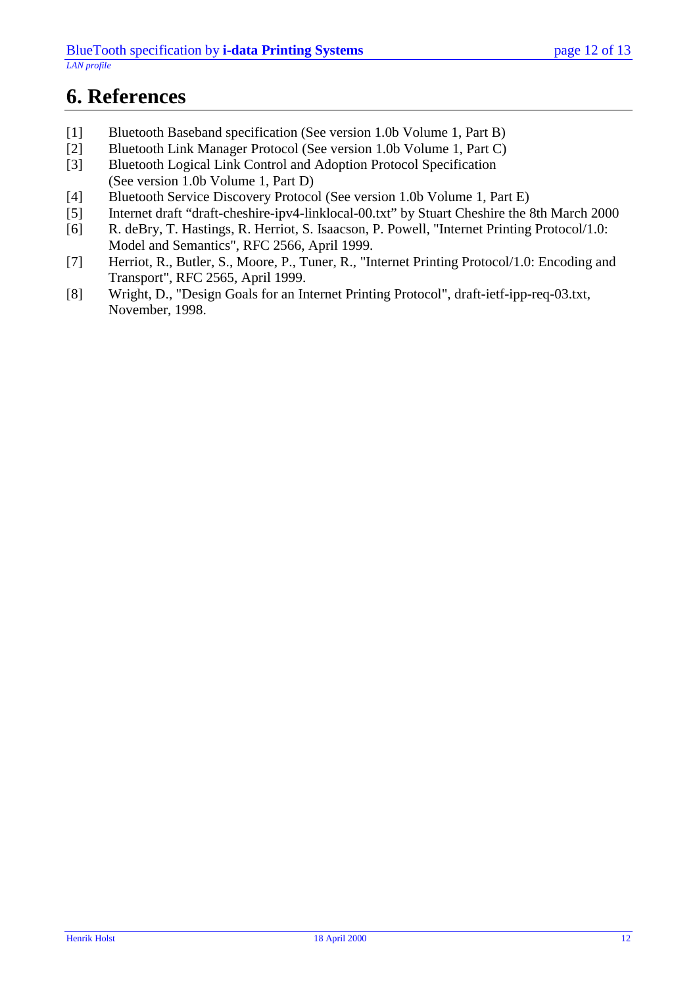### <span id="page-11-0"></span>**6. References**

- [1] Bluetooth Baseband specification (See version 1.0b Volume 1, Part B)
- [2] Bluetooth Link Manager Protocol (See version 1.0b Volume 1, Part C)
- [3] Bluetooth Logical Link Control and Adoption Protocol Specification (See version 1.0b Volume 1, Part D)
- [4] Bluetooth Service Discovery Protocol (See version 1.0b Volume 1, Part E)
- [5] Internet draft "draft-cheshire-ipv4-linklocal-00.txt" by Stuart Cheshire the 8th March 2000
- [6] R. deBry, T. Hastings, R. Herriot, S. Isaacson, P. Powell, "Internet Printing Protocol/1.0: Model and Semantics", RFC 2566, April 1999.
- [7] Herriot, R., Butler, S., Moore, P., Tuner, R., "Internet Printing Protocol/1.0: Encoding and Transport", RFC 2565, April 1999.
- [8] Wright, D., "Design Goals for an Internet Printing Protocol", draft-ietf-ipp-req-03.txt, November, 1998.